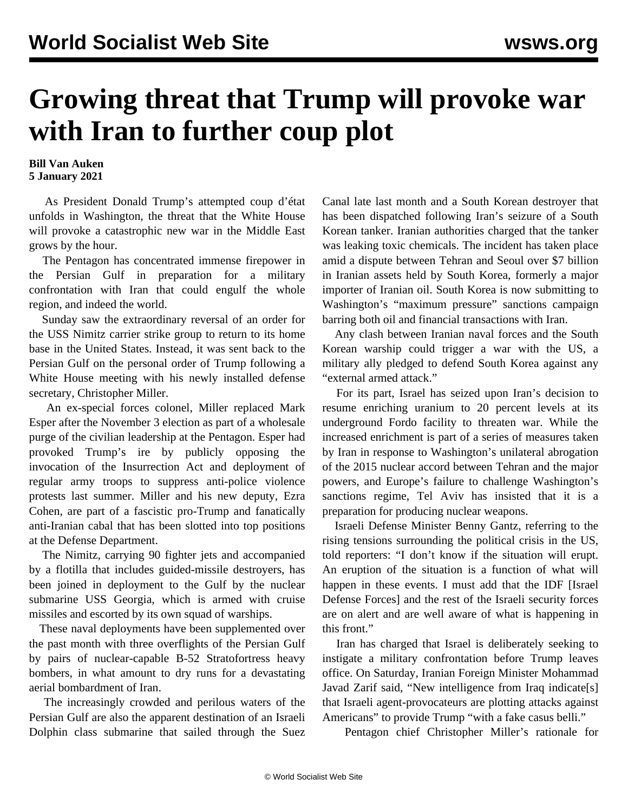## **Growing threat that Trump will provoke war with Iran to further coup plot**

## **Bill Van Auken 5 January 2021**

 As President Donald Trump's attempted coup d'état unfolds in Washington, the threat that the White House will provoke a catastrophic new war in the Middle East grows by the hour.

 The Pentagon has concentrated immense firepower in the Persian Gulf in preparation for a military confrontation with Iran that could engulf the whole region, and indeed the world.

 Sunday saw the extraordinary reversal of an order for the USS Nimitz carrier strike group to return to its home base in the United States. Instead, it was sent back to the Persian Gulf on the personal order of Trump following a White House meeting with his newly installed defense secretary, Christopher Miller.

 An ex-special forces colonel, Miller replaced Mark Esper after the November 3 election as part of a wholesale purge of the civilian leadership at the Pentagon. Esper had provoked Trump's ire by publicly opposing the invocation of the Insurrection Act and deployment of regular army troops to suppress anti-police violence protests last summer. Miller and his new deputy, Ezra Cohen, are part of a fascistic pro-Trump and fanatically anti-Iranian cabal that has been slotted into top positions at the Defense Department.

 The Nimitz, carrying 90 fighter jets and accompanied by a flotilla that includes guided-missile destroyers, has been joined in deployment to the Gulf by the nuclear submarine USS Georgia, which is armed with cruise missiles and escorted by its own squad of warships.

 These naval deployments have been supplemented over the past month with three overflights of the Persian Gulf by pairs of nuclear-capable B-52 Stratofortress heavy bombers, in what amount to dry runs for a devastating aerial bombardment of Iran.

 The increasingly crowded and perilous waters of the Persian Gulf are also the apparent destination of an Israeli Dolphin class submarine that sailed through the Suez Canal late last month and a South Korean destroyer that has been dispatched following Iran's seizure of a South Korean tanker. Iranian authorities charged that the tanker was leaking toxic chemicals. The incident has taken place amid a dispute between Tehran and Seoul over \$7 billion in Iranian assets held by South Korea, formerly a major importer of Iranian oil. South Korea is now submitting to Washington's "maximum pressure" sanctions campaign barring both oil and financial transactions with Iran.

 Any clash between Iranian naval forces and the South Korean warship could trigger a war with the US, a military ally pledged to defend South Korea against any "external armed attack."

 For its part, Israel has seized upon Iran's decision to resume enriching uranium to 20 percent levels at its underground Fordo facility to threaten war. While the increased enrichment is part of a series of measures taken by Iran in response to Washington's unilateral abrogation of the 2015 nuclear accord between Tehran and the major powers, and Europe's failure to challenge Washington's sanctions regime, Tel Aviv has insisted that it is a preparation for producing nuclear weapons.

 Israeli Defense Minister Benny Gantz, referring to the rising tensions surrounding the political crisis in the US, told reporters: "I don't know if the situation will erupt. An eruption of the situation is a function of what will happen in these events. I must add that the IDF [Israel Defense Forces] and the rest of the Israeli security forces are on alert and are well aware of what is happening in this front."

 Iran has charged that Israel is deliberately seeking to instigate a military confrontation before Trump leaves office. On Saturday, Iranian Foreign Minister Mohammad Javad Zarif said, "New intelligence from Iraq indicate[s] that Israeli agent-provocateurs are plotting attacks against Americans" to provide Trump "with a fake casus belli."

Pentagon chief Christopher Miller's rationale for